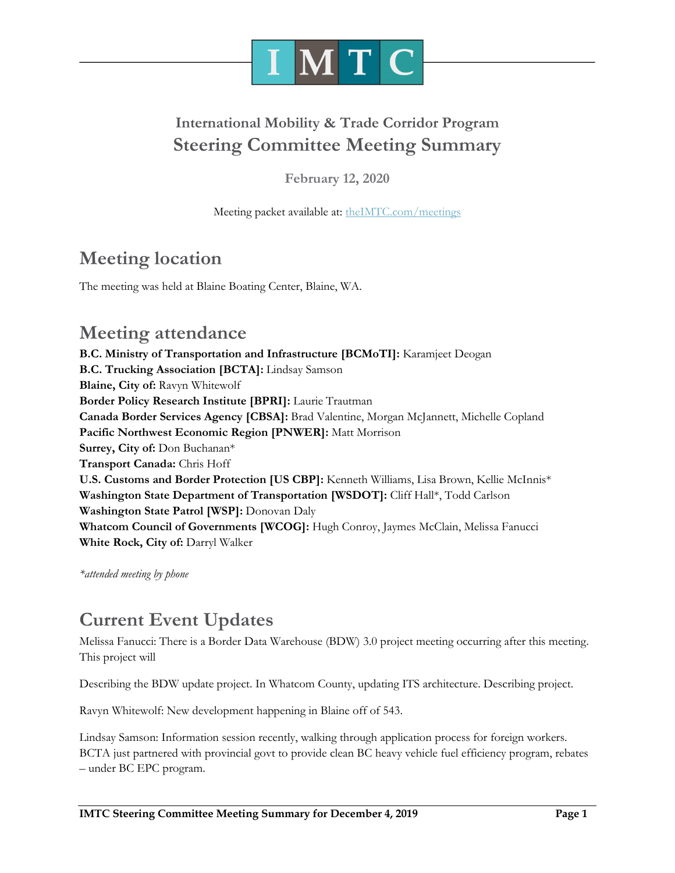

## **International Mobility & Trade Corridor Program Steering Committee Meeting Summary**

**February 12, 2020**

Meeting packet available at: [theIMTC.com/meetings](http://theimtc.com/meetings)

## **Meeting location**

The meeting was held at Blaine Boating Center, Blaine, WA.

### **Meeting attendance**

**B.C. Ministry of Transportation and Infrastructure [BCMoTI]:** Karamjeet Deogan **B.C. Trucking Association [BCTA]:** Lindsay Samson **Blaine, City of:** Ravyn Whitewolf **Border Policy Research Institute [BPRI]:** Laurie Trautman **Canada Border Services Agency [CBSA]:** Brad Valentine, Morgan McJannett, Michelle Copland **Pacific Northwest Economic Region [PNWER]:** Matt Morrison **Surrey, City of:** Don Buchanan\* **Transport Canada:** Chris Hoff **U.S. Customs and Border Protection [US CBP]:** Kenneth Williams, Lisa Brown, Kellie McInnis\* **Washington State Department of Transportation [WSDOT]:** Cliff Hall\*, Todd Carlson **Washington State Patrol [WSP]:** Donovan Daly **Whatcom Council of Governments [WCOG]:** Hugh Conroy, Jaymes McClain, Melissa Fanucci **White Rock, City of:** Darryl Walker

*\*attended meeting by phone*

### **Current Event Updates**

Melissa Fanucci: There is a Border Data Warehouse (BDW) 3.0 project meeting occurring after this meeting. This project will

Describing the BDW update project. In Whatcom County, updating ITS architecture. Describing project.

Ravyn Whitewolf: New development happening in Blaine off of 543.

Lindsay Samson: Information session recently, walking through application process for foreign workers. BCTA just partnered with provincial govt to provide clean BC heavy vehicle fuel efficiency program, rebates – under BC EPC program.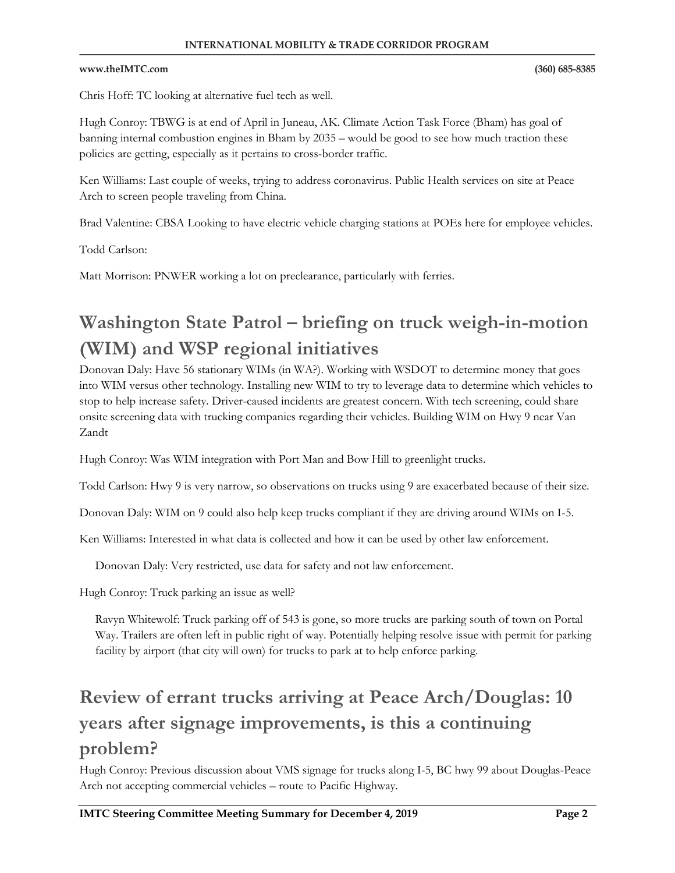#### www.theIMTC.com

Chris Hoff: TC looking at alternative fuel tech as well.

Hugh Conroy: TBWG is at end of April in Juneau, AK. Climate Action Task Force (Bham) has goal of banning internal combustion engines in Bham by 2035 – would be good to see how much traction these policies are getting, especially as it pertains to cross-border traffic.

Ken Williams: Last couple of weeks, trying to address coronavirus. Public Health services on site at Peace Arch to screen people traveling from China.

Brad Valentine: CBSA Looking to have electric vehicle charging stations at POEs here for employee vehicles.

Todd Carlson:

Matt Morrison: PNWER working a lot on preclearance, particularly with ferries.

# **Washington State Patrol – briefing on truck weigh-in-motion (WIM) and WSP regional initiatives**

Donovan Daly: Have 56 stationary WIMs (in WA?). Working with WSDOT to determine money that goes into WIM versus other technology. Installing new WIM to try to leverage data to determine which vehicles to stop to help increase safety. Driver-caused incidents are greatest concern. With tech screening, could share onsite screening data with trucking companies regarding their vehicles. Building WIM on Hwy 9 near Van Zandt

Hugh Conroy: Was WIM integration with Port Man and Bow Hill to greenlight trucks.

Todd Carlson: Hwy 9 is very narrow, so observations on trucks using 9 are exacerbated because of their size.

Donovan Daly: WIM on 9 could also help keep trucks compliant if they are driving around WIMs on I-5.

Ken Williams: Interested in what data is collected and how it can be used by other law enforcement.

Donovan Daly: Very restricted, use data for safety and not law enforcement.

Hugh Conroy: Truck parking an issue as well?

Ravyn Whitewolf: Truck parking off of 543 is gone, so more trucks are parking south of town on Portal Way. Trailers are often left in public right of way. Potentially helping resolve issue with permit for parking facility by airport (that city will own) for trucks to park at to help enforce parking.

# **Review of errant trucks arriving at Peace Arch/Douglas: 10 years after signage improvements, is this a continuing problem?**

Hugh Conroy: Previous discussion about VMS signage for trucks along I-5, BC hwy 99 about Douglas-Peace Arch not accepting commercial vehicles – route to Pacific Highway.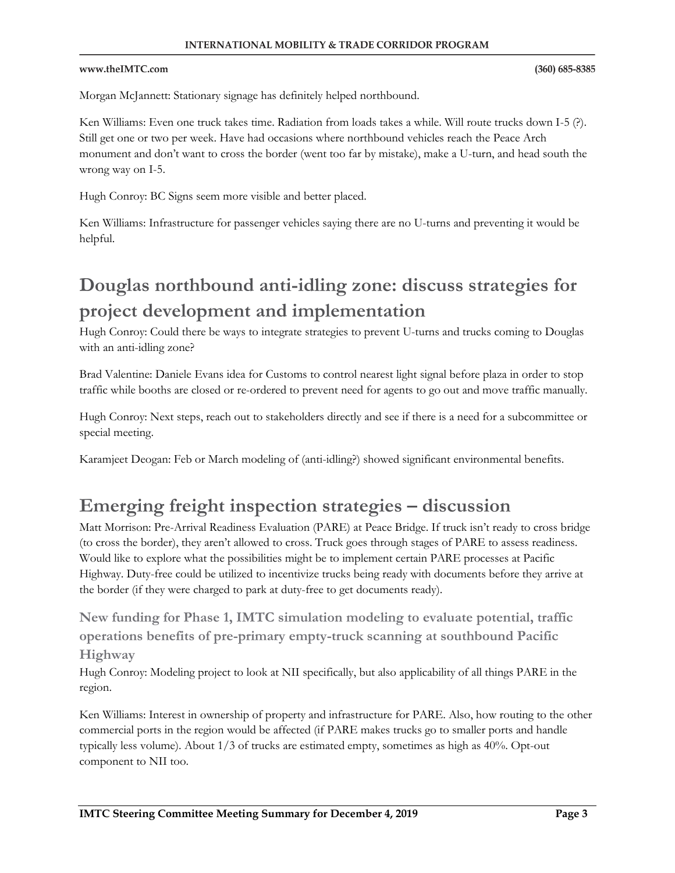#### www.theIMTC.com

Morgan McJannett: Stationary signage has definitely helped northbound.

Ken Williams: Even one truck takes time. Radiation from loads takes a while. Will route trucks down I-5 (?). Still get one or two per week. Have had occasions where northbound vehicles reach the Peace Arch monument and don't want to cross the border (went too far by mistake), make a U-turn, and head south the wrong way on I-5.

Hugh Conroy: BC Signs seem more visible and better placed.

Ken Williams: Infrastructure for passenger vehicles saying there are no U-turns and preventing it would be helpful.

# **Douglas northbound anti-idling zone: discuss strategies for project development and implementation**

Hugh Conroy: Could there be ways to integrate strategies to prevent U-turns and trucks coming to Douglas with an anti-idling zone?

Brad Valentine: Daniele Evans idea for Customs to control nearest light signal before plaza in order to stop traffic while booths are closed or re-ordered to prevent need for agents to go out and move traffic manually.

Hugh Conroy: Next steps, reach out to stakeholders directly and see if there is a need for a subcommittee or special meeting.

Karamjeet Deogan: Feb or March modeling of (anti-idling?) showed significant environmental benefits.

### **Emerging freight inspection strategies – discussion**

Matt Morrison: Pre-Arrival Readiness Evaluation (PARE) at Peace Bridge. If truck isn't ready to cross bridge (to cross the border), they aren't allowed to cross. Truck goes through stages of PARE to assess readiness. Would like to explore what the possibilities might be to implement certain PARE processes at Pacific Highway. Duty-free could be utilized to incentivize trucks being ready with documents before they arrive at the border (if they were charged to park at duty-free to get documents ready).

**New funding for Phase 1, IMTC simulation modeling to evaluate potential, traffic operations benefits of pre-primary empty-truck scanning at southbound Pacific Highway**

Hugh Conroy: Modeling project to look at NII specifically, but also applicability of all things PARE in the region.

Ken Williams: Interest in ownership of property and infrastructure for PARE. Also, how routing to the other commercial ports in the region would be affected (if PARE makes trucks go to smaller ports and handle typically less volume). About 1/3 of trucks are estimated empty, sometimes as high as 40%. Opt-out component to NII too.